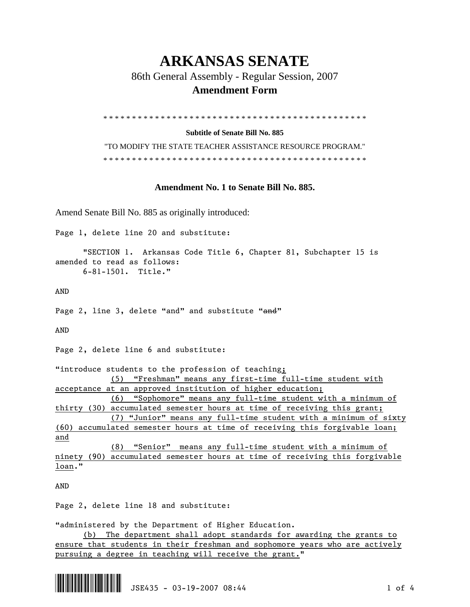## **ARKANSAS SENATE**

86th General Assembly - Regular Session, 2007

## **Amendment Form**

\* \* \* \* \* \* \* \* \* \* \* \* \* \* \* \* \* \* \* \* \* \* \* \* \* \* \* \* \* \* \* \* \* \* \* \* \* \* \* \* \* \* \* \* \* \*

**Subtitle of Senate Bill No. 885** 

"TO MODIFY THE STATE TEACHER ASSISTANCE RESOURCE PROGRAM." \* \* \* \* \* \* \* \* \* \* \* \* \* \* \* \* \* \* \* \* \* \* \* \* \* \* \* \* \* \* \* \* \* \* \* \* \* \* \* \* \* \* \* \* \* \*

## **Amendment No. 1 to Senate Bill No. 885.**

Amend Senate Bill No. 885 as originally introduced:

Page 1, delete line 20 and substitute:

 "SECTION 1. Arkansas Code Title 6, Chapter 81, Subchapter 15 is amended to read as follows: 6-81-1501. Title."

AND

Page 2, line 3, delete "and" and substitute "and"

AND

Page 2, delete line 6 and substitute:

"introduce students to the profession of teaching; (5) "Freshman" means any first-time full-time student with acceptance at an approved institution of higher education;

 (6) "Sophomore" means any full-time student with a minimum of thirty (30) accumulated semester hours at time of receiving this grant;

 (7) "Junior" means any full-time student with a minimum of sixty (60) accumulated semester hours at time of receiving this forgivable loan; and

 (8) "Senior" means any full-time student with a minimum of ninety (90) accumulated semester hours at time of receiving this forgivable loan."

AND

Page 2, delete line 18 and substitute:

"administered by the Department of Higher Education.

 (b) The department shall adopt standards for awarding the grants to ensure that students in their freshman and sophomore years who are actively pursuing a degree in teaching will receive the grant."

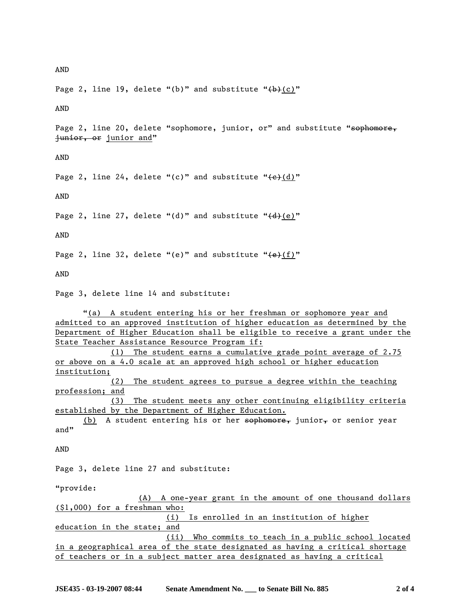AND

Page 2, line 19, delete "(b)" and substitute " $(b)$ "

AND

Page 2, line 20, delete "sophomore, junior, or" and substitute "sophomore, junior, or junior and"

AND

Page 2, line 24, delete "(c)" and substitute " $\left(\frac{e}{d}\right)'$ "

AND

Page 2, line 27, delete "(d)" and substitute " $\left(\frac{d}{e}\right)'$ "

AND

Page 2, line 32, delete "(e)" and substitute " $\left(\frac{e}{f}\right)'$ "

AND

Page 3, delete line 14 and substitute:

 "(a) A student entering his or her freshman or sophomore year and admitted to an approved institution of higher education as determined by the Department of Higher Education shall be eligible to receive a grant under the State Teacher Assistance Resource Program if:

 (1) The student earns a cumulative grade point average of 2.75 or above on a 4.0 scale at an approved high school or higher education institution;

 (2) The student agrees to pursue a degree within the teaching profession; and

 (3) The student meets any other continuing eligibility criteria established by the Department of Higher Education.

(b) A student entering his or her  $s$ ophomore, junior, or senior year and"

AND

Page 3, delete line 27 and substitute:

"provide:

 (A) A one-year grant in the amount of one thousand dollars (\$1,000) for a freshman who: (i) Is enrolled in an institution of higher education in the state; and (ii) Who commits to teach in a public school located in a geographical area of the state designated as having a critical shortage of teachers or in a subject matter area designated as having a critical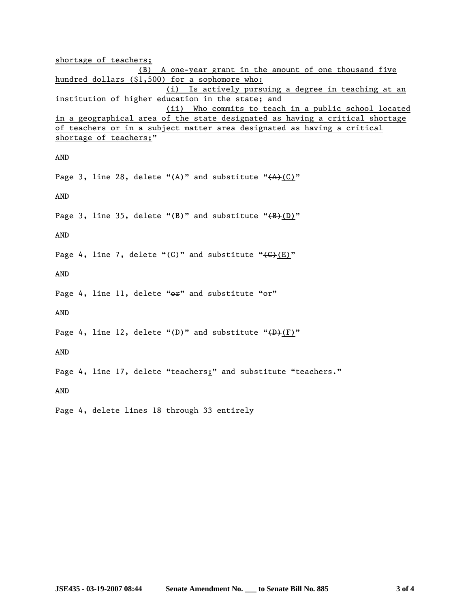shortage of teachers; (B) A one-year grant in the amount of one thousand five hundred dollars (\$1,500) for a sophomore who: (i) Is actively pursuing a degree in teaching at an institution of higher education in the state; and (ii) Who commits to teach in a public school located in a geographical area of the state designated as having a critical shortage of teachers or in a subject matter area designated as having a critical shortage of teachers;" AND Page 3, line 28, delete "(A)" and substitute " $(A)$ (C)" AND Page 3, line 35, delete "(B)" and substitute " $\frac{B}{D}$ " AND Page 4, line 7, delete "(C)" and substitute " $\left(\frac{E}{E}\right)$ " AND Page 4, line 11, delete "or" and substitute "or" AND Page 4, line 12, delete "(D)" and substitute " $(D)$ " AND Page 4, line 17, delete "teachers;" and substitute "teachers." AND Page 4, delete lines 18 through 33 entirely